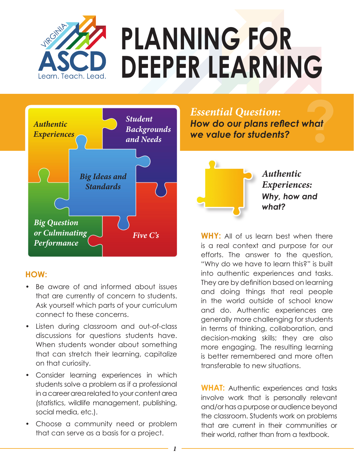

# **PLANNING FOR DEEPER LEARNING**



#### **HOW:**

- Be aware of and informed about issues that are currently of concern to students. Ask yourself which parts of your curriculum connect to these concerns.
- Listen during classroom and out-of-class discussions for questions students have. When students wonder about something that can stretch their learning, capitalize on that curiosity.
- Consider learning experiences in which students solve a problem as if a professional in a career area related to your content area (statistics, wildlife management, publishing, social media, etc.).
- Choose a community need or problem that can serve as a basis for a project.

**Phonomical Synthestion:**<br>*Essential Question:***<br>We value for students?** *How do our plans reflect what we value for students?*



**WHY:** All of us learn best when there is a real context and purpose for our efforts. The answer to the question, "Why do we have to learn this?" is built into authentic experiences and tasks. They are by definition based on learning and doing things that real people in the world outside of school know and do. Authentic experiences are generally more challenging for students in terms of thinking, collaboration, and decision-making skills; they are also more engaging. The resulting learning is better remembered and more often transferable to new situations.

**WHAT:** Authentic experiences and tasks involve work that is personally relevant and/or has a purpose or audience beyond the classroom. Students work on problems that are current in their communities or their world, rather than from a textbook.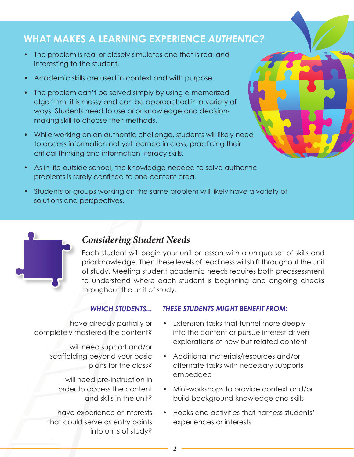## **WHAT MAKES A LEARNING EXPERIENCE** *AUTHENTIC?*

- The problem is real or closely simulates one that is real and interesting to the student.
- Academic skills are used in context and with purpose.
- The problem can't be solved simply by using a memorized algorithm, it is messy and can be approached in a variety of ways. Students need to use prior knowledge and decisionmaking skill to choose their methods.
- While working on an authentic challenge, students will likely need to access information not yet learned in class, practicing their critical thinking and information literacy skills.
- As in life outside school, the knowledge needed to solve authentic problems is rarely confined to one content area.
- Students or groups working on the same problem will likely have a variety of solutions and perspectives.



#### *Considering Student Needs*

Each student will begin your unit or lesson with a unique set of skills and prior knowledge. Then these levels of readiness will shift throughout the unit of study. Meeting student academic needs requires both preassessment to understand where each student is beginning and ongoing checks throughout the unit of study.

#### *WHICH STUDENTS...*

have already partially or completely mastered the content?

will need support and/or

scaffolding beyond your basic plans for the class?

will need pre-instruction in order to access the content and skills in the unit?

have experience or interests that could serve as entry points into units of study?

#### *THESE STUDENTS MIGHT BENEFIT FROM:*

- Extension tasks that tunnel more deeply into the content or pursue interest-driven explorations of new but related content
- Additional materials/resources and/or alternate tasks with necessary supports embedded
- Mini-workshops to provide context and/or build background knowledge and skills
- Hooks and activities that harness students' experiences or interests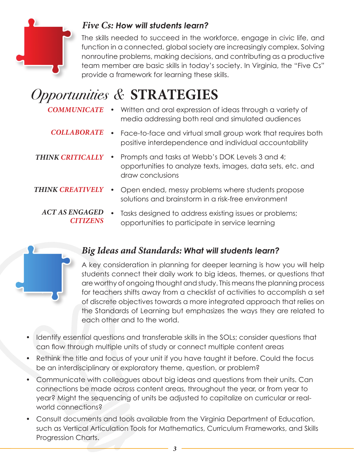

#### *Five Cs: How will students learn?*

The skills needed to succeed in the workforce, engage in civic life, and function in a connected, global society are increasingly complex. Solving nonroutine problems, making decisions, and contributing as a productive team member are basic skills in today's society. In Virginia, the "Five Cs" provide a framework for learning these skills.

# *Opportunities &* **STRATEGIES**

- *COMMUNICATE* Written and oral expression of ideas through a variety of media addressing both real and simulated audiences
- **COLLABORATE** Face-to-face and virtual small group work that requires both positive interdependence and individual accountability
- *THINK CRITICALLY* • Prompts and tasks at Webb's DOK Levels 3 and 4; opportunities to analyze texts, images, data sets, etc. and draw conclusions
- **THINK CREATIVELY** Open ended, messy problems where students propose solutions and brainstorm in a risk-free environment
	- ACT AS ENGAGED Tasks designed to address existing issues or problems; *CITIZENS* opportunities to participate in service learning



### *Big Ideas and Standards: What will students learn?*

A key consideration in planning for deeper learning is how you will help students connect their daily work to big ideas, themes, or questions that are worthy of ongoing thought and study. This means the planning process for teachers shifts away from a checklist of activities to accomplish a set of discrete objectives towards a more integrated approach that relies on the Standards of Learning but emphasizes the ways they are related to each other and to the world.

- Identify essential questions and transferable skills in the SOLs; consider questions that can flow through multiple units of study or connect multiple content areas
- Rethink the title and focus of your unit if you have taught it before. Could the focus be an interdisciplinary or exploratory theme, question, or problem?
- Communicate with colleagues about big ideas and questions from their units. Can connections be made across content areas, throughout the year, or from year to year? Might the sequencing of units be adjusted to capitalize on curricular or realworld connections?
- Consult documents and tools available from the Virginia Department of Education, such as Vertical Articulation Tools for Mathematics, Curriculum Frameworks, and Skills Progression Charts.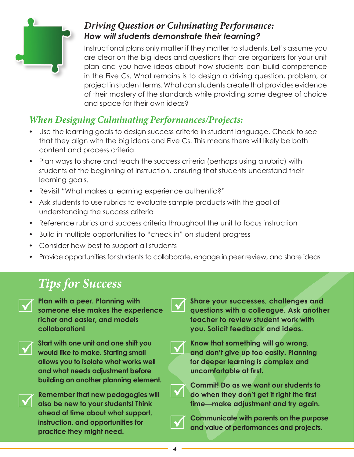

#### *Driving Question or Culminating Performance: How will students demonstrate their learning?*

Instructional plans only matter if they matter to students. Let's assume you are clear on the big ideas and questions that are organizers for your unit plan and you have ideas about how students can build competence in the Five Cs. What remains is to design a driving question, problem, or project in student terms. What can students create that provides evidence of their mastery of the standards while providing some degree of choice and space for their own ideas?

## *When Designing Culminating Performances/Projects:*

- Use the learning goals to design success criteria in student language. Check to see that they align with the big ideas and Five Cs. This means there will likely be both content and process criteria.
- Plan ways to share and teach the success criteria (perhaps using a rubric) with students at the beginning of instruction, ensuring that students understand their learning goals.
- Revisit "What makes a learning experience authentic?"
- Ask students to use rubrics to evaluate sample products with the goal of understanding the success criteria
- Reference rubrics and success criteria throughout the unit to focus instruction
- Build in multiple opportunities to "check in" on student progress
- Consider how best to support all students
- Provide opportunities for students to collaborate, engage in peer review, and share ideas

# *Tips for Success*

**Plan with a peer. Planning with someone else makes the experience richer and easier, and models collaboration!** 



**Start with one unit and one shift you would like to make. Starting small allows you to isolate what works well and what needs adjustment before building on another planning element.**



**Remember that new pedagogies will also be new to your students! Think ahead of time about what support, instruction, and opportunities for practice they might need.**

**Share your successes, challenges and questions with a colleague. Ask another teacher to review student work with you. Solicit feedback and ideas.**



**Know that something will go wrong, and don't give up too easily. Planning for deeper learning is complex and uncomfortable at first.** 



**Commit! Do as we want our students to do when they don't get it right the first time—make adjustment and try again.**



**Communicate with parents on the purpose and value of performances and projects.**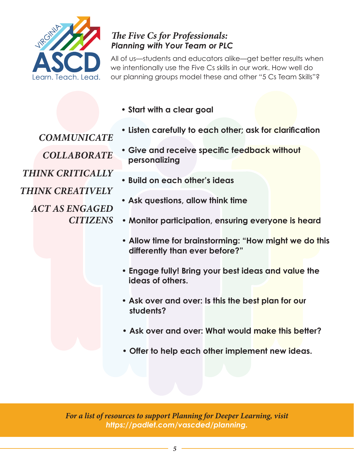

#### *The Five Cs for Professionals: Planning with Your Team or PLC*

All of us—students and educators alike—get better results when we intentionally use the Five Cs skills in our work. How well do our planning groups model these and other "5 Cs Team Skills"?

**• Start with a clear goal**

*COMMUNICATE*

- **Listen carefully to each other; ask for clarification**
- *COLLABORATE*

*THINK CRITICALLY*

*THINK CREATIVELY*

*ACT AS ENGAGED CITIZENS*

- **Give and receive specific feedback without personalizing**
- **Build on each other's ideas**
- **Ask questions, allow think time**
- **Monitor participation, ensuring everyone is heard**
	- **Allow time for brainstorming: "How might we do this differently than ever before?"**
	- **Engage fully! Bring your best ideas and value the ideas of others.**
	- **Ask over and over: Is this the best plan for our students?**
	- **Ask over and over: What would make this better?**
	- **Offer to help each other implement new ideas.**

*For a list of resources to support Planning for Deeper Learning, visit https://padlet.com/vascded/planning.*